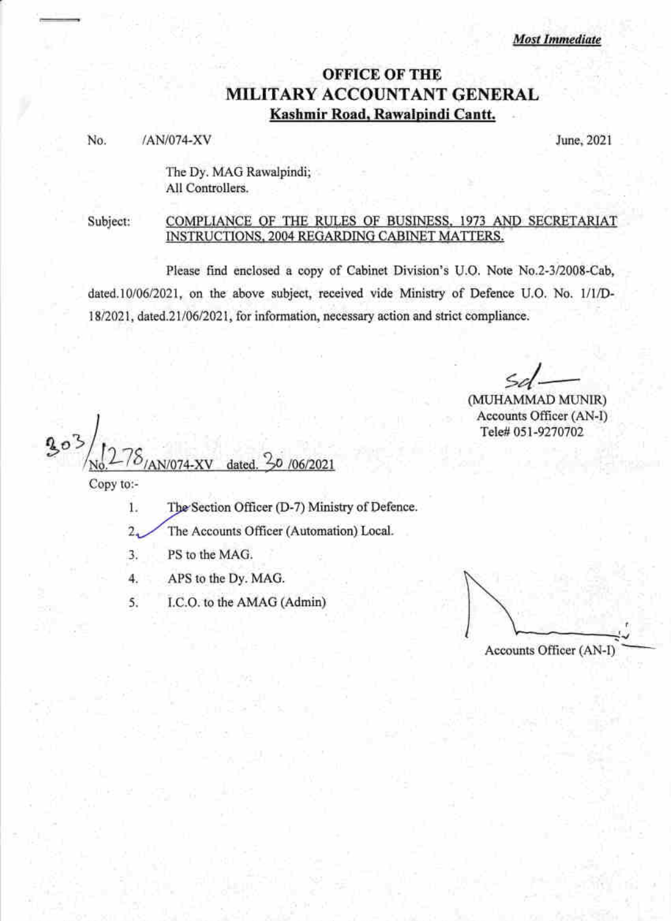**Most Immediate** 

## **OFFICE OF THE** MILITARY ACCOUNTANT GENERAL Kashmir Road, Rawalpindi Cantt.

No. /AN/074-XV June, <sup>2021</sup>

The Dy. MAG Rawalpindi; All Controllers.

Subject:

 $\pm$ 

## COMPLIANCE OF THE RULES OF BUSINESS, 1973 AND SECRETARIAT INSTRUCTIONS, 2004 REGARDING CABINET MATTERS.

Please find enclosed a copy of Cabinet Division's U.O. Note No.2-3/2008-Cab, dated. 10/06/2021, on the above subject, received vide Ministry of Defence U.O. No. 1/1/D-18/2021, dated. 21/06/2021, for information, necessary action and strict compliance.

(MUHAMMAD MUNIR) Accounts Officer (AN-I) Tele# 051-9270702

 $30/06/2021$ N/074-XV dated Copy to:-

 $1.$ The Section Officer (D-7) Ministry of Defence.

2 The Accounts Officer (Automation) Local.

J PS to the MAG.

4 APS to the Dy. MAG.

5 I.C.O. to the AMAG (Admin)

Accounts Officer (AN-I)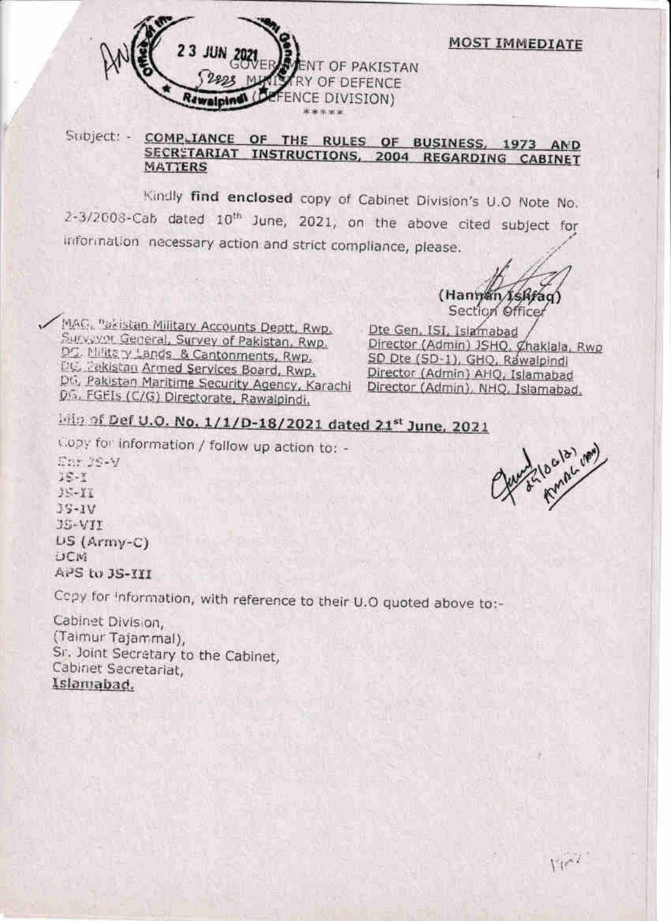

COMPLIANCE OF THE RULES OF BUSINESS, 1973 AND Subject: -SECRETARIAT INSTRUCTIONS, 2004 REGARDING CABINET **MATTERS** 

Kindly find enclosed copy of Cabinet Division's U.O Note No. 2-3/2008-Cab dated 10<sup>th</sup> June, 2021, on the above cited subject for information necessary action and strict compliance, please.

(Hannan Ishfaq Section Officer

**MOST IMMEDIATE** 

MAG, Pakistan Military Accounts Deptt, Rwp. Sucveyor General, Survey of Pakistan, Rwp. DC. Military Lands & Cantonments, Rwp. DC. Pekistan Armed Services Board, Rwp. DG, Pakistan Maritime Security Agency, Karachi DG, FGEIs (C/G) Directorate, Rawalpindi.

Dte Gen, ISI, Islamabad Director (Admin) JSHO, Chaklala, Rwp SD Dte (SD-1), GHQ, Rawalpindi Director (Admin) AHQ, Islamabad Director (Admin), NHO, Islamabad.

## liftin of Def U.O. No. 1/1/D-18/2021 dated 21st June, 2021

Copy for information / follow up action to: -

The JS-V  $3 - 7$  $35 - 17$  $35-1V$  $JS-VII$  $US(Army-C)$ DCM: APS to JS-III

Copy for Information, with reference to their U.O quoted above to:-

Cabinet Division. (Taimur Tajammal), Sr. Joint Secretary to the Cabinet, Cabinet Secretariat, Islamabad.